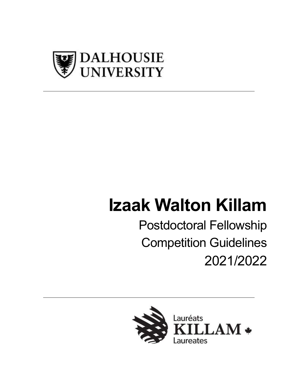

# **Izaak Walton Killam**

Postdoctoral Fellowship Competition Guidelines 2021/2022

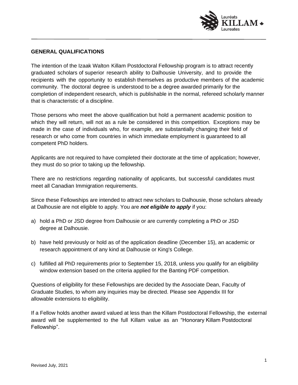

#### **GENERAL QUALIFICATIONS**

The intention of the Izaak Walton Killam Postdoctoral Fellowship program is to attract recently graduated scholars of superior research ability to Dalhousie University, and to provide the recipients with the opportunity to establish themselves as productive members of the academic community. The doctoral degree is understood to be a degree awarded primarily for the completion of independent research, which is publishable in the normal, refereed scholarly manner that is characteristic of a discipline.

Those persons who meet the above qualification but hold a permanent academic position to which they will return, will not as a rule be considered in this competition. Exceptions may be made in the case of individuals who, for example, are substantially changing their field of research or who come from countries in which immediate employment is guaranteed to all competent PhD holders.

Applicants are not required to have completed their doctorate at the time of application; however, they must do so prior to taking up the fellowship.

There are no restrictions regarding nationality of applicants, but successful candidates must meet all Canadian Immigration requirements.

Since these Fellowships are intended to attract new scholars to Dalhousie, those scholars already at Dalhousie are not eligible to apply. You are *not eligible to apply* if you:

- a) hold a PhD or JSD degree from Dalhousie or are currently completing a PhD or JSD degree at Dalhousie.
- b) have held previously or hold as of the application deadline (December 15), an academic or research appointment of any kind at Dalhousie or King's College.
- c) fulfilled all PhD requirements prior to September 15, 2018, unless you qualify for an eligibility window extension based on the criteria applied for the Banting PDF competition.

Questions of eligibility for these Fellowships are decided by the Associate Dean, Faculty of Graduate Studies, to whom any inquiries may be directed. Please see Appendix III for allowable extensions to eligibility.

If a Fellow holds another award valued at less than the Killam Postdoctoral Fellowship, the external award will be supplemented to the full Killam value as an "Honorary Killam Postdoctoral Fellowship".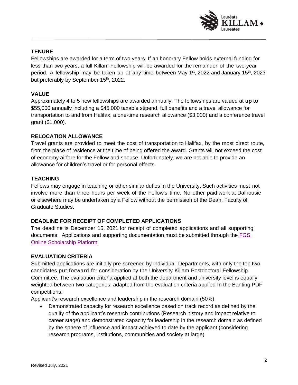

## **TENURE**

Fellowships are awarded for a term of two years. If an honorary Fellow holds external funding for less than two years, a full Killam Fellowship will be awarded for the remainder of the two-year period. A fellowship may be taken up at any time between May 1<sup>st</sup>, 2022 and January 15<sup>th</sup>, 2023 but preferably by September 15<sup>th</sup>, 2022.

#### **VALUE**

Approximately 4 to 5 new fellowships are awarded annually. The fellowships are valued at **up to** \$55,000 annually including a \$45,000 taxable stipend, full benefits and a travel allowance for transportation to and from Halifax, a one-time research allowance (\$3,000) and a conference travel grant (\$1,000).

## **RELOCATION ALLOWANCE**

Travel grants are provided to meet the cost of transportation to Halifax, by the most direct route, from the place of residence at the time of being offered the award. Grants will not exceed the cost of economy airfare for the Fellow and spouse. Unfortunately, we are not able to provide an allowance for children's travel or for personal effects.

## **TEACHING**

Fellows may engage in teaching or other similar duties in the University. Such activities must not involve more than three hours per week of the Fellow's time. No other paid work at Dalhousie or elsewhere may be undertaken by a Fellow without the permission of the Dean, Faculty of Graduate Studies.

# **DEADLINE FOR RECEIPT OF COMPLETED APPLICATIONS**

The deadline is December 15, 2021 for receipt of completed applications and all supporting documents. Applications and supporting documentation must be submitted through the [FGS](https://dalhousiefgs.secure-platform.com/a/solicitations/5/home) [Online Scholarship Platform.](https://dalhousiefgs.secure-platform.com/a/solicitations/5/home)

#### **EVALUATION CRITERIA**

Submitted applications are initially pre-screened by individual Departments, with only the top two candidates put forward for consideration by the University Killam Postdoctoral Fellowship Committee. The evaluation criteria applied at both the department and university level is equally weighted between two categories, adapted from the evaluation criteria applied In the Banting PDF competitions:

Applicant's research excellence and leadership in the research domain (50%)

• Demonstrated capacity for research excellence based on track record as defined by the quality of the applicant's research contributions (Research history and impact relative to career stage) and demonstrated capacity for leadership in the research domain as defined by the sphere of influence and impact achieved to date by the applicant (considering research programs, institutions, communities and society at large)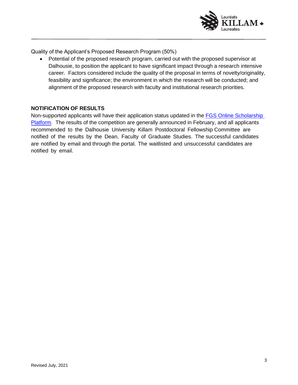

Quality of the Applicant's Proposed Research Program (50%)

• Potential of the proposed research program, carried out with the proposed supervisor at Dalhousie, to position the applicant to have significant impact through a research intensive career. Factors considered include the quality of the proposal in terms of novelty/originality, feasibility and significance; the environment in which the research will be conducted; and alignment of the proposed research with faculty and institutional research priorities.

#### **NOTIFICATION OF RESULTS**

Non-supported applicants will have their application status updated in the **FGS Online Scholarship** [Platform.](https://dalhousiefgs.secure-platform.com/a/solicitations/2/home) The results of the competition are generally announced in February, and all applicants recommended to the Dalhousie University Killam Postdoctoral Fellowship Committee are notified of the results by the Dean, Faculty of Graduate Studies. The successful candidates are notified by email and through the portal. The waitlisted and unsuccessful candidates are notified by email.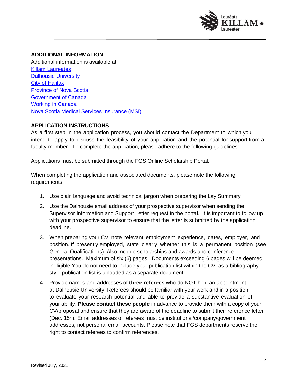

# **ADDITIONAL INFORMATION**

Additional information is available at: Killam Laureates [Dalhousie University](https://www.dal.ca/) [City of Halifax](https://www.halifax.ca/) [Province of Nova Scotia](https://beta.novascotia.ca/) [Government of Canada](https://www.canada.ca/en.html) [Working in Canada](https://www.canada.ca/en/immigration-refugees-citizenship/services/work-canada.html) [Nova Scotia Medical Services Insurance \(MSI\)](https://novascotia.ca/dhw/MSI/)

#### **APPLICATION INSTRUCTIONS**

As a first step in the application process, you should contact the Department to which you intend to apply to discuss the feasibility of your application and the potential for support from a faculty member. To complete the application, please adhere to the following guidelines:

Applications must be submitted through the FGS Online Scholarship Portal.

When completing the application and associated documents, please note the following requirements:

- 1. Use plain language and avoid technical jargon when preparing the Lay Summary
- 2. Use the Dalhousie email address of your prospective supervisor when sending the Supervisor Information and Support Letter request in the portal. It is important to follow up with your prospective supervisor to ensure that the letter is submitted by the application deadline.
- 3. When preparing your CV, note relevant employment experience, dates, employer, and position. If presently employed, state clearly whether this is a permanent position (see General Qualifications). Also include scholarships and awards and conference presentations. Maximum of six (6) pages. Documents exceeding 6 pages will be deemed ineligible You do not need to include your publication list within the CV, as a bibliographystyle publication list is uploaded as a separate document.
- 4. Provide names and addresses of **three referees** who do NOT hold an appointment at Dalhousie University. Referees should be familiar with your work and in a position to evaluate your research potential and able to provide a substantive evaluation of your ability. **Please contact these people** in advance to provide them with a copy of your CV/proposal and ensure that they are aware of the deadline to submit their reference letter (Dec. 15th). Email addresses of referees must be institutional/company/government addresses, not personal email accounts. Please note that FGS departments reserve the right to contact referees to confirm references.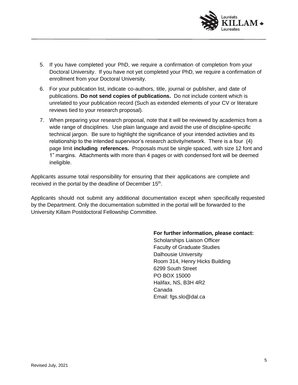

- 5. If you have completed your PhD, we require a confirmation of completion from your Doctoral University. If you have not yet completed your PhD, we require a confirmation of enrollment from your Doctoral University.
- 6. For your publication list, indicate co-authors, title, journal or publisher, and date of publications. **Do not send copies of publications.** Do not include content which is unrelated to your publication record (Such as extended elements of your CV or literature reviews tied to your research proposal).
- 7. When preparing your research proposal, note that it will be reviewed by academics from a wide range of disciplines. Use plain language and avoid the use of discipline-specific technical jargon. Be sure to highlight the significance of your intended activities and its relationship to the intended supervisor's research activity/network. There is a four (4) page limit **including references.** Proposals must be single spaced, with size 12 font and 1" margins. Attachments with more than 4 pages or with condensed font will be deemed ineligible.

Applicants assume total responsibility for ensuring that their applications are complete and received in the portal by the deadline of December  $15<sup>th</sup>$ .

Applicants should not submit any additional documentation except when specifically requested by the Department. Only the documentation submitted in the portal will be forwarded to the University Killam Postdoctoral Fellowship Committee.

#### **For further information, please contact:**

Scholarships Liaison Officer Faculty of Graduate Studies Dalhousie University Room 314, Henry Hicks Building 6299 South Street PO BOX 15000 Halifax, NS, B3H 4R2 Canada Email: [fgs.slo@dal.ca](mailto:fgs.slo@dal.ca)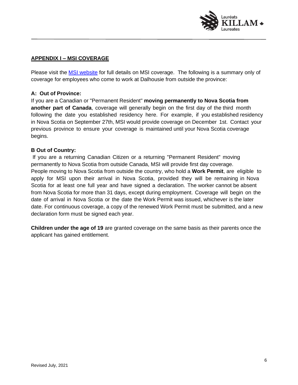

# **APPENDIX I – MSI COVERAGE**

Please visit the **MSI website** for full details on MSI coverage. The following is a summary only of coverage for employees who come to work at Dalhousie from outside the province:

#### **A: Out of Province:**

If you are a Canadian or "Permanent Resident" **moving permanently to Nova Scotia from another part of Canada**, coverage will generally begin on the first day of the third month following the date you established residency here. For example, if you established residency in Nova Scotia on September 27th, MSI would provide coverage on December 1st. Contact your previous province to ensure your coverage is maintained until your Nova Scotia coverage begins.

#### **B Out of Country:**

If you are a returning Canadian Citizen or a returning "Permanent Resident" moving permanently to Nova Scotia from outside Canada, MSI will provide first day coverage. People moving to Nova Scotia from outside the country, who hold a **Work Permit**, are eligible to apply for MSI upon their arrival in Nova Scotia, provided they will be remaining in Nova Scotia for at least one full year and have signed a declaration. The worker cannot be absent from Nova Scotia for more than 31 days, except during employment. Coverage will begin on the date of arrival in Nova Scotia or the date the Work Permit was issued, whichever is the later date. For continuous coverage, a copy of the renewed Work Permit must be submitted, and a new declaration form must be signed each year.

**Children under the age of 19** are granted coverage on the same basis as their parents once the applicant has gained entitlement.